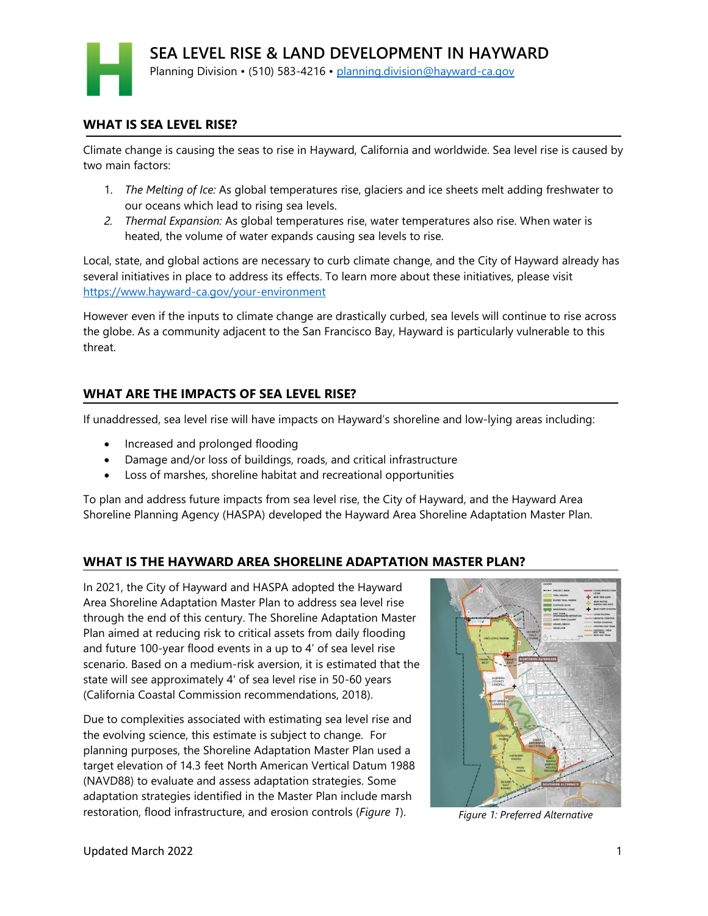### **WHAT IS SEA LEVEL RISE?**

Climate change is causing the seas to rise in Hayward, California and worldwide. Sea level rise is caused by two main factors:

- 1. *The Melting of Ice:* As global temperatures rise, glaciers and ice sheets melt adding freshwater to our oceans which lead to rising sea levels.
- *2. Thermal Expansion:* As global temperatures rise, water temperatures also rise. When water is heated, the volume of water expands causing sea levels to rise.

Local, state, and global actions are necessary to curb climate change, and the City of Hayward already has several initiatives in place to address its effects. To learn more about these initiatives, please visit <https://www.hayward-ca.gov/your-environment>

However even if the inputs to climate change are drastically curbed, sea levels will continue to rise across the globe. As a community adjacent to the San Francisco Bay, Hayward is particularly vulnerable to this threat.

## **WHAT ARE THE IMPACTS OF SEA LEVEL RISE?**

If unaddressed, sea level rise will have impacts on Hayward's shoreline and low-lying areas including:

- Increased and prolonged flooding
- Damage and/or loss of buildings, roads, and critical infrastructure
- Loss of marshes, shoreline habitat and recreational opportunities

To plan and address future impacts from sea level rise, the City of Hayward, and the Hayward Area Shoreline Planning Agency (HASPA) developed the Hayward Area Shoreline Adaptation Master Plan.

## **WHAT IS THE HAYWARD AREA SHORELINE ADAPTATION MASTER PLAN?**

In 2021, the City of Hayward and HASPA adopted the Hayward Area Shoreline Adaptation Master Plan to address sea level rise through the end of this century. The Shoreline Adaptation Master Plan aimed at reducing risk to critical assets from daily flooding and future 100-year flood events in a up to 4' of sea level rise scenario. Based on a medium-risk aversion, it is estimated that the state will see approximately 4' of sea level rise in 50-60 years (California Coastal Commission recommendations, 2018).

Due to complexities associated with estimating sea level rise and the evolving science, this estimate is subject to change. For planning purposes, the Shoreline Adaptation Master Plan used a target elevation of 14.3 feet North American Vertical Datum 1988 (NAVD88) to evaluate and assess adaptation strategies. Some adaptation strategies identified in the Master Plan include marsh restoration, flood infrastructure, and erosion controls (*Figure 1*). *Figure 1: Preferred Alternative*